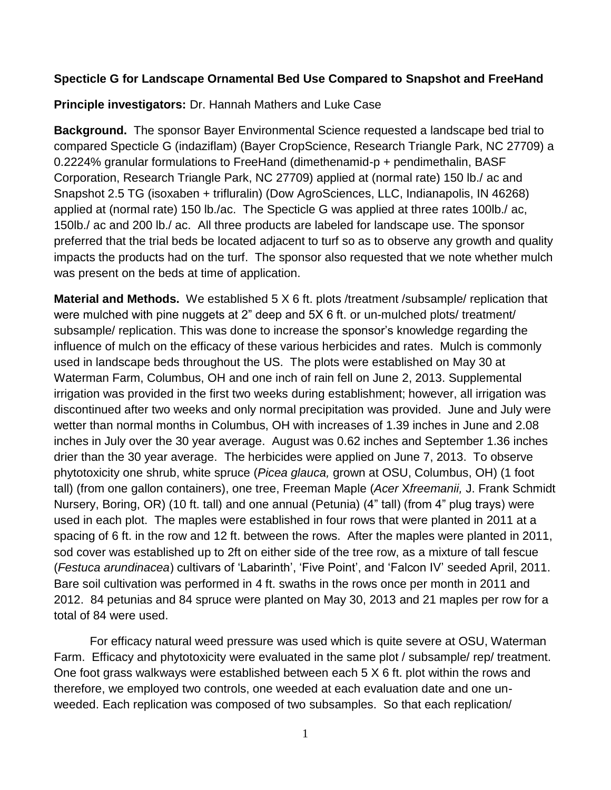## **Specticle G for Landscape Ornamental Bed Use Compared to Snapshot and FreeHand**

**Principle investigators:** Dr. Hannah Mathers and Luke Case

**Background.** The sponsor Bayer Environmental Science requested a landscape bed trial to compared Specticle G (indaziflam) (Bayer CropScience, Research Triangle Park, NC 27709) a 0.2224% granular formulations to FreeHand (dimethenamid-p + pendimethalin, BASF Corporation, Research Triangle Park, NC 27709) applied at (normal rate) 150 lb./ ac and Snapshot 2.5 TG (isoxaben + trifluralin) (Dow AgroSciences, LLC, Indianapolis, IN 46268) applied at (normal rate) 150 lb./ac. The Specticle G was applied at three rates 100lb./ ac, 150lb./ ac and 200 lb./ ac. All three products are labeled for landscape use. The sponsor preferred that the trial beds be located adjacent to turf so as to observe any growth and quality impacts the products had on the turf. The sponsor also requested that we note whether mulch was present on the beds at time of application.

**Material and Methods.** We established 5 X 6 ft. plots /treatment /subsample/ replication that were mulched with pine nuggets at 2" deep and 5X 6 ft. or un-mulched plots/ treatment/ subsample/ replication. This was done to increase the sponsor's knowledge regarding the influence of mulch on the efficacy of these various herbicides and rates. Mulch is commonly used in landscape beds throughout the US. The plots were established on May 30 at Waterman Farm, Columbus, OH and one inch of rain fell on June 2, 2013. Supplemental irrigation was provided in the first two weeks during establishment; however, all irrigation was discontinued after two weeks and only normal precipitation was provided. June and July were wetter than normal months in Columbus, OH with increases of 1.39 inches in June and 2.08 inches in July over the 30 year average. August was 0.62 inches and September 1.36 inches drier than the 30 year average. The herbicides were applied on June 7, 2013. To observe phytotoxicity one shrub, white spruce (*Picea glauca,* grown at OSU, Columbus, OH) (1 foot tall) (from one gallon containers), one tree, Freeman Maple (*Acer* X*freemanii,* J. Frank Schmidt Nursery, Boring, OR) (10 ft. tall) and one annual (Petunia) (4" tall) (from 4" plug trays) were used in each plot. The maples were established in four rows that were planted in 2011 at a spacing of 6 ft. in the row and 12 ft. between the rows. After the maples were planted in 2011, sod cover was established up to 2ft on either side of the tree row, as a mixture of tall fescue (*Festuca arundinacea*) cultivars of 'Labarinth', 'Five Point', and 'Falcon IV' seeded April, 2011. Bare soil cultivation was performed in 4 ft. swaths in the rows once per month in 2011 and 2012. 84 petunias and 84 spruce were planted on May 30, 2013 and 21 maples per row for a total of 84 were used.

For efficacy natural weed pressure was used which is quite severe at OSU, Waterman Farm. Efficacy and phytotoxicity were evaluated in the same plot / subsample/ rep/ treatment. One foot grass walkways were established between each  $5 \times 6$  ft. plot within the rows and therefore, we employed two controls, one weeded at each evaluation date and one unweeded. Each replication was composed of two subsamples. So that each replication/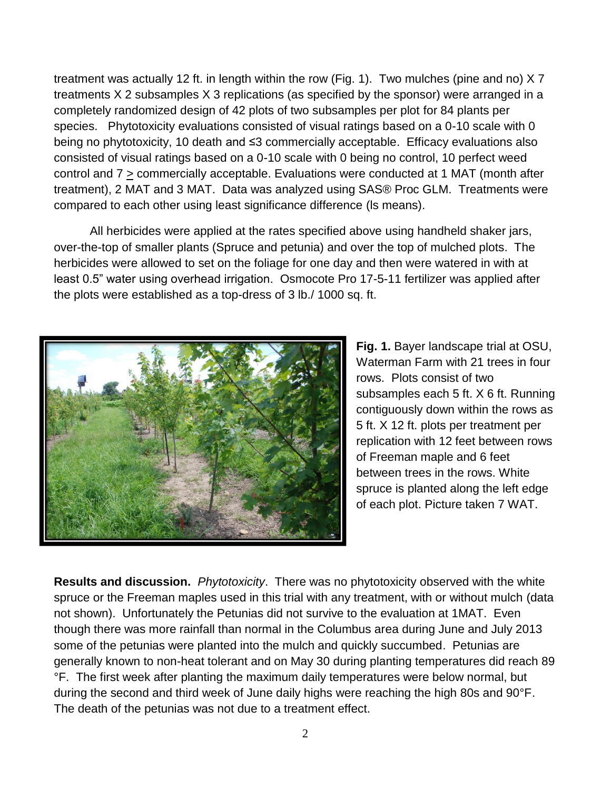treatment was actually 12 ft. in length within the row (Fig. 1). Two mulches (pine and no) X 7 treatments X 2 subsamples X 3 replications (as specified by the sponsor) were arranged in a completely randomized design of 42 plots of two subsamples per plot for 84 plants per species. Phytotoxicity evaluations consisted of visual ratings based on a 0-10 scale with 0 being no phytotoxicity, 10 death and ≤3 commercially acceptable. Efficacy evaluations also consisted of visual ratings based on a 0-10 scale with 0 being no control, 10 perfect weed control and  $7 \ge$  commercially acceptable. Evaluations were conducted at 1 MAT (month after treatment), 2 MAT and 3 MAT. Data was analyzed using SAS® Proc GLM. Treatments were compared to each other using least significance difference (ls means).

All herbicides were applied at the rates specified above using handheld shaker jars, over-the-top of smaller plants (Spruce and petunia) and over the top of mulched plots. The herbicides were allowed to set on the foliage for one day and then were watered in with at least 0.5" water using overhead irrigation. Osmocote Pro 17-5-11 fertilizer was applied after the plots were established as a top-dress of 3 lb./ 1000 sq. ft.



**Fig. 1.** Bayer landscape trial at OSU, Waterman Farm with 21 trees in four rows. Plots consist of two subsamples each 5 ft. X 6 ft. Running contiguously down within the rows as 5 ft. X 12 ft. plots per treatment per replication with 12 feet between rows of Freeman maple and 6 feet between trees in the rows. White spruce is planted along the left edge of each plot. Picture taken 7 WAT.

**Results and discussion.** *Phytotoxicity*. There was no phytotoxicity observed with the white spruce or the Freeman maples used in this trial with any treatment, with or without mulch (data not shown). Unfortunately the Petunias did not survive to the evaluation at 1MAT. Even though there was more rainfall than normal in the Columbus area during June and July 2013 some of the petunias were planted into the mulch and quickly succumbed. Petunias are generally known to non-heat tolerant and on May 30 during planting temperatures did reach 89 °F. The first week after planting the maximum daily temperatures were below normal, but during the second and third week of June daily highs were reaching the high 80s and 90°F. The death of the petunias was not due to a treatment effect.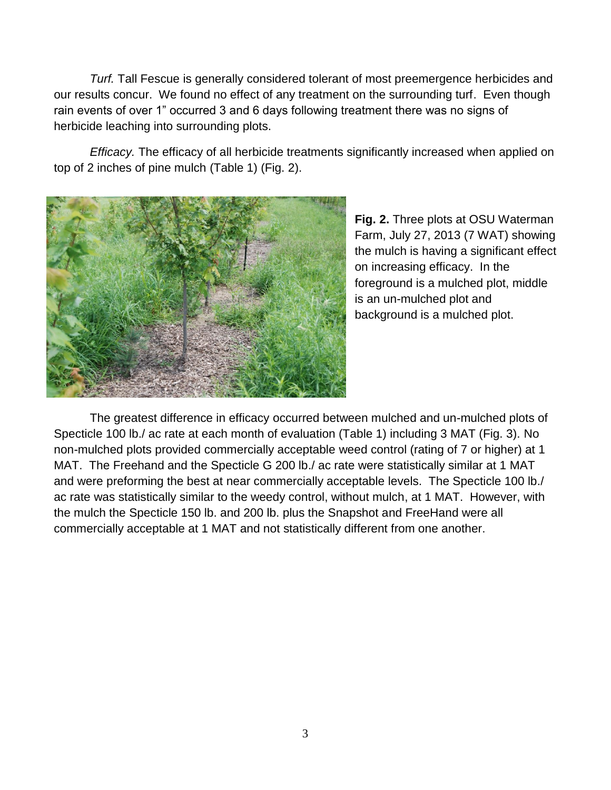*Turf.* Tall Fescue is generally considered tolerant of most preemergence herbicides and our results concur. We found no effect of any treatment on the surrounding turf. Even though rain events of over 1" occurred 3 and 6 days following treatment there was no signs of herbicide leaching into surrounding plots.

*Efficacy.* The efficacy of all herbicide treatments significantly increased when applied on top of 2 inches of pine mulch (Table 1) (Fig. 2).



**Fig. 2.** Three plots at OSU Waterman Farm, July 27, 2013 (7 WAT) showing the mulch is having a significant effect on increasing efficacy. In the foreground is a mulched plot, middle is an un-mulched plot and background is a mulched plot.

The greatest difference in efficacy occurred between mulched and un-mulched plots of Specticle 100 lb./ ac rate at each month of evaluation (Table 1) including 3 MAT (Fig. 3). No non-mulched plots provided commercially acceptable weed control (rating of 7 or higher) at 1 MAT. The Freehand and the Specticle G 200 lb./ ac rate were statistically similar at 1 MAT and were preforming the best at near commercially acceptable levels. The Specticle 100 lb./ ac rate was statistically similar to the weedy control, without mulch, at 1 MAT. However, with the mulch the Specticle 150 lb. and 200 lb. plus the Snapshot and FreeHand were all commercially acceptable at 1 MAT and not statistically different from one another.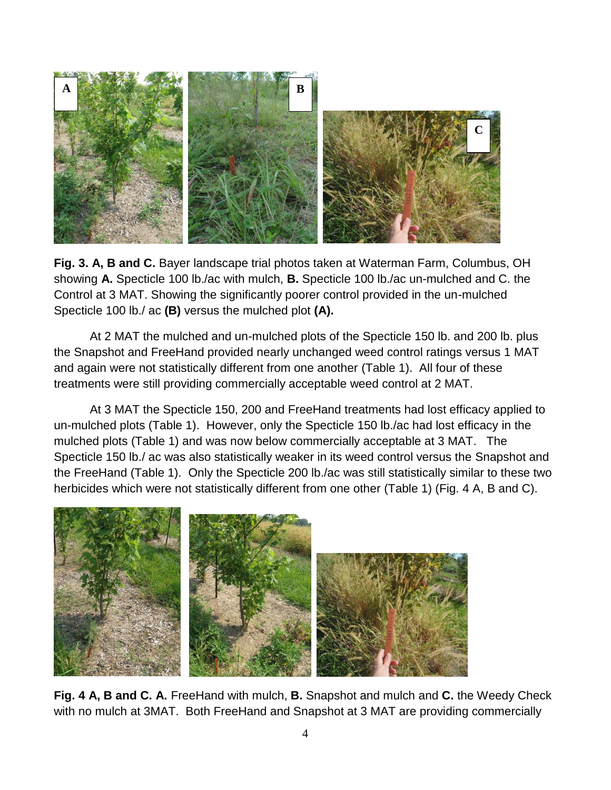

**Fig. 3. A, B and C.** Bayer landscape trial photos taken at Waterman Farm, Columbus, OH showing **A.** Specticle 100 lb./ac with mulch, **B.** Specticle 100 lb./ac un-mulched and C. the Control at 3 MAT. Showing the significantly poorer control provided in the un-mulched Specticle 100 lb./ ac **(B)** versus the mulched plot **(A).**

At 2 MAT the mulched and un-mulched plots of the Specticle 150 lb. and 200 lb. plus the Snapshot and FreeHand provided nearly unchanged weed control ratings versus 1 MAT and again were not statistically different from one another (Table 1). All four of these treatments were still providing commercially acceptable weed control at 2 MAT.

At 3 MAT the Specticle 150, 200 and FreeHand treatments had lost efficacy applied to un-mulched plots (Table 1). However, only the Specticle 150 lb./ac had lost efficacy in the mulched plots (Table 1) and was now below commercially acceptable at 3 MAT. The Specticle 150 lb./ ac was also statistically weaker in its weed control versus the Snapshot and the FreeHand (Table 1). Only the Specticle 200 lb./ac was still statistically similar to these two herbicides which were not statistically different from one other (Table 1) (Fig. 4 A, B and C).



**Fig. 4 A, B and C. A.** FreeHand with mulch, **B.** Snapshot and mulch and **C.** the Weedy Check with no mulch at 3MAT. Both FreeHand and Snapshot at 3 MAT are providing commercially